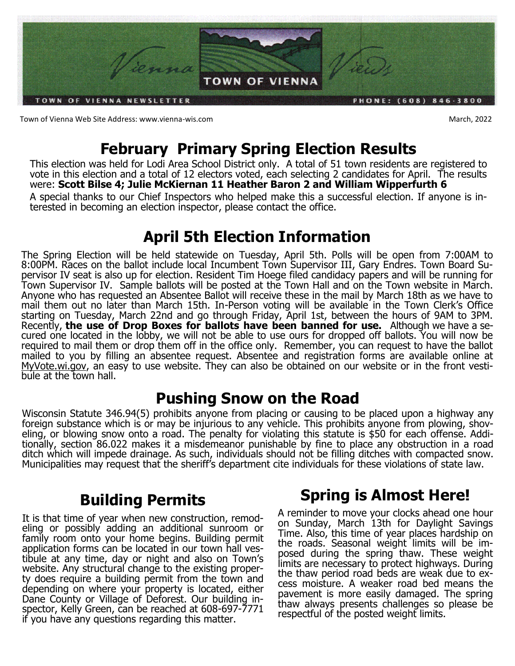

Town of Vienna Web Site Address: www.vienna-wis.com **March, 2022** 

# **February Primary Spring Election Results**

This election was held for Lodi Area School District only. A total of 51 town residents are registered to vote in this election and a total of 12 electors voted, each selecting 2 candidates for April. The results were: **Scott Bilse 4; Julie McKiernan 11 Heather Baron 2 and William Wipperfurth 6** 

A special thanks to our Chief Inspectors who helped make this a successful election. If anyone is interested in becoming an election inspector, please contact the office.

## **April 5th Election Information**

The Spring Election will be held statewide on Tuesday, April 5th. Polls will be open from 7:00AM to 8:00PM. Races on the ballot include local Incumbent Town Supervisor III, Gary Endres. Town Board Supervisor IV seat is also up for election. Resident Tim Hoege filed candidacy papers and will be running for Town Supervisor IV. Sample ballots will be posted at the Town Hall and on the Town website in March. Anyone who has requested an Absentee Ballot will receive these in the mail by March 18th as we have to mail them out no later than March 15th. In-Person voting will be available in the Town Clerk's Office starting on Tuesday, March 22nd and go through Friday, April 1st, between the hours of 9AM to 3PM. Recently, **the use of Drop Boxes for ballots have been banned for use.** Although we have a secured one located in the lobby, we will not be able to use ours for dropped off ballots. You will now be required to mail them or drop them off in the office only. Remember, you can request to have the ballot mailed to you by filling an absentee request. Absentee and registration forms are available online at MyVote.wi.gov, an easy to use website. They can also be obtained on our website or in the front vestibule at the town hall.

## **Pushing Snow on the Road**

Wisconsin Statute 346.94(5) prohibits anyone from placing or causing to be placed upon a highway any foreign substance which is or may be injurious to any vehicle. This prohibits anyone from plowing, shoveling, or blowing snow onto a road. The penalty for violating this statute is \$50 for each offense. Additionally, section 86.022 makes it a misdemeanor punishable by fine to place any obstruction in a road ditch which will impede drainage. As such, individuals should not be filling ditches with compacted snow. Municipalities may request that the sheriff's department cite individuals for these violations of state law.

# **Building Permits**

It is that time of year when new construction, remodeling or possibly adding an additional sunroom or family room onto your home begins. Building permit application forms can be located in our town hall vestibule at any time, day or night and also on Town's website. Any structural change to the existing property does require a building permit from the town and depending on where your property is located, either Dane County or Village of Deforest. Our building inspector, Kelly Green, can be reached at 608-697-7771 if you have any questions regarding this matter.

# **Spring is Almost Here!**

A reminder to move your clocks ahead one hour on Sunday, March 13th for Daylight Savings Time. Also, this time of year places hardship on the roads. Seasonal weight limits will be imposed during the spring thaw. These weight limits are necessary to protect highways. During the thaw period road beds are weak due to excess moisture. A weaker road bed means the pavement is more easily damaged. The spring thaw always presents challenges so please be respectful of the posted weight limits.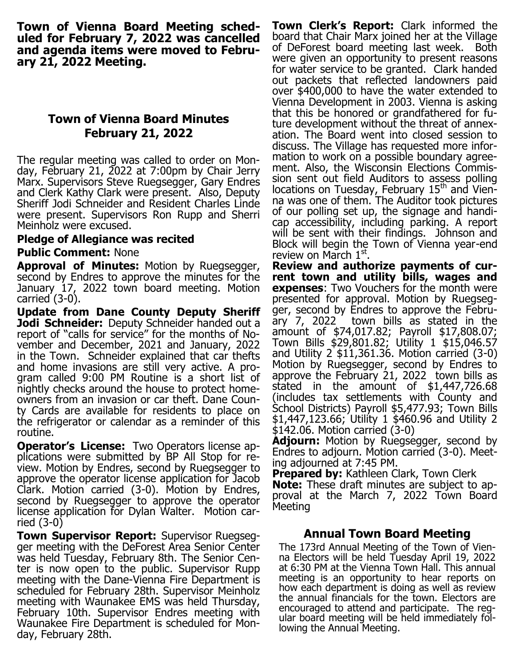**Town of Vienna Board Meeting scheduled for February 7, 2022 was cancelled and agenda items were moved to February 21, 2022 Meeting.**

### **Town of Vienna Board Minutes February 21, 2022**

The regular meeting was called to order on Monday, February 21, 2022 at 7:00pm by Chair Jerry Marx. Supervisors Steve Ruegsegger, Gary Endres and Clerk Kathy Clark were present. Also, Deputy Sheriff Jodi Schneider and Resident Charles Linde were present. Supervisors Ron Rupp and Sherri Meinholz were excused.

#### **Pledge of Allegiance was recited**

#### **Public Comment:** None

**Approval of Minutes:** Motion by Ruegsegger, second by Endres to approve the minutes for the January 17, 2022 town board meeting. Motion carried (3-0).

**Update from Dane County Deputy Sheriff Jodi Schneider:** Deputy Schneider handed out a report of "calls for service" for the months of November and December, 2021 and January, 2022 in the Town. Schneider explained that car thefts and home invasions are still very active. A program called 9:00 PM Routine is a short list of nightly checks around the house to protect homeowners from an invasion or car theft. Dane County Cards are available for residents to place on the refrigerator or calendar as a reminder of this routine.

**Operator's License:** Two Operators license applications were submitted by BP All Stop for review. Motion by Endres, second by Ruegsegger to approve the operator license application for Jacob Clark. Motion carried (3-0). Motion by Endres, second by Ruegsegger to approve the operator license application for Dylan Walter. Motion carried (3-0)

**Town Supervisor Report:** Supervisor Ruegsegger meeting with the DeForest Area Senior Center was held Tuesday, February 8th. The Senior Center is now open to the public. Supervisor Rupp meeting with the Dane-Vienna Fire Department is scheduled for February 28th. Supervisor Meinholz meeting with Waunakee EMS was held Thursday, February 10th. Supervisor Endres meeting with Waunakee Fire Department is scheduled for Monday, February 28th.

**Town Clerk's Report:** Clark informed the board that Chair Marx joined her at the Village of DeForest board meeting last week. Both were given an opportunity to present reasons for water service to be granted. Clark handed out packets that reflected landowners paid over \$400,000 to have the water extended to Vienna Development in 2003. Vienna is asking that this be honored or grandfathered for future development without the threat of annexation. The Board went into closed session to discuss. The Village has requested more information to work on a possible boundary agreement. Also, the Wisconsin Elections Commission sent out field Auditors to assess polling locations on Tuesday, February 15<sup>th</sup> and Vienna was one of them. The Auditor took pictures of our polling set up, the signage and handicap accessibility, including parking. A report will be sent with their findings. Johnson and Block will begin the Town of Vienna year-end review on March 1st.

**Review and authorize payments of current town and utility bills, wages and expenses**: Two Vouchers for the month were presented for approval. Motion by Ruegsegger, second by Endres to approve the February 7, 2022 town bills as stated in the amount of \$74,017.82; Payroll \$17,808.07; Town Bills \$29,801.82; Utility 1 \$15,046.57 and Utility 2 \$11,361.36. Motion carried (3-0) Motion by Ruegsegger, second by Endres to approve the February 21, 2022 town bills as stated in the amount of \$1,447,726.68 (includes tax settlements with County and School Districts) Payroll \$5,477.93; Town Bills \$1,447,123.66; Utility 1 \$460.96 and Utility 2 \$142.06. Motion carried (3-0)

**Adjourn:** Motion by Ruegsegger, second by Endres to adjourn. Motion carried (3-0). Meeting adjourned at 7:45 PM.

**Prepared by:** Kathleen Clark, Town Clerk **Note:** These draft minutes are subject to approval at the March 7, 2022 Town Board Meeting

### **Annual Town Board Meeting**

The 173rd Annual Meeting of the Town of Vienna Electors will be held Tuesday April 19, 2022 at 6:30 PM at the Vienna Town Hall. This annual meeting is an opportunity to hear reports on how each department is doing as well as review the annual financials for the town. Electors are encouraged to attend and participate. The regular board meeting will be held immediately following the Annual Meeting.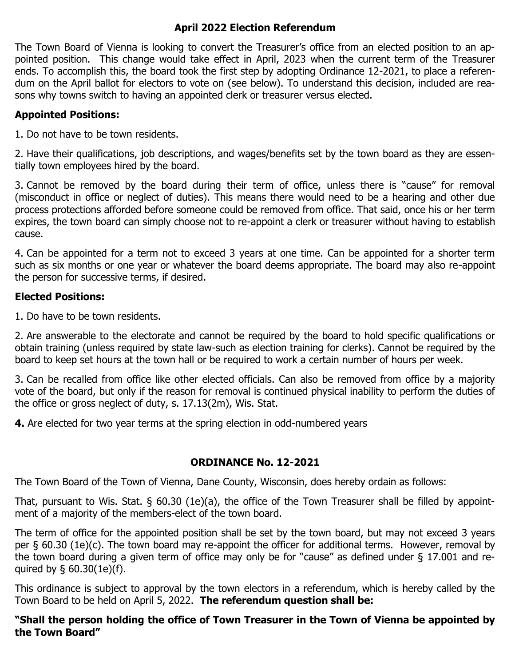### **April 2022 Election Referendum**

The Town Board of Vienna is looking to convert the Treasurer's office from an elected position to an appointed position. This change would take effect in April, 2023 when the current term of the Treasurer ends. To accomplish this, the board took the first step by adopting Ordinance 12-2021, to place a referendum on the April ballot for electors to vote on (see below). To understand this decision, included are reasons why towns switch to having an appointed clerk or treasurer versus elected.

### **Appointed Positions:**

1. Do not have to be town residents.

2. Have their qualifications, job descriptions, and wages/benefits set by the town board as they are essentially town employees hired by the board.

3. Cannot be removed by the board during their term of office, unless there is "cause" for removal (misconduct in office or neglect of duties). This means there would need to be a hearing and other due process protections afforded before someone could be removed from office. That said, once his or her term expires, the town board can simply choose not to re-appoint a clerk or treasurer without having to establish cause.

4. Can be appointed for a term not to exceed 3 years at one time. Can be appointed for a shorter term such as six months or one year or whatever the board deems appropriate. The board may also re-appoint the person for successive terms, if desired.

### **Elected Positions:**

1. Do have to be town residents.

2. Are answerable to the electorate and cannot be required by the board to hold specific qualifications or obtain training (unless required by state law-such as election training for clerks). Cannot be required by the board to keep set hours at the town hall or be required to work a certain number of hours per week.

3. Can be recalled from office like other elected officials. Can also be removed from office by a majority vote of the board, but only if the reason for removal is continued physical inability to perform the duties of the office or gross neglect of duty, s. 17.13(2m), Wis. Stat.

**4.** Are elected for two year terms at the spring election in odd-numbered years

### **ORDINANCE No. 12-2021**

The Town Board of the Town of Vienna, Dane County, Wisconsin, does hereby ordain as follows:

That, pursuant to Wis. Stat. § 60.30 (1e)(a), the office of the Town Treasurer shall be filled by appointment of a majority of the members-elect of the town board.

The term of office for the appointed position shall be set by the town board, but may not exceed 3 years per § 60.30 (1e)(c). The town board may re-appoint the officer for additional terms. However, removal by the town board during a given term of office may only be for "cause" as defined under § 17.001 and required by § 60.30(1e)(f).

This ordinance is subject to approval by the town electors in a referendum, which is hereby called by the Town Board to be held on April 5, 2022. **The referendum question shall be:**

**"Shall the person holding the office of Town Treasurer in the Town of Vienna be appointed by the Town Board"**